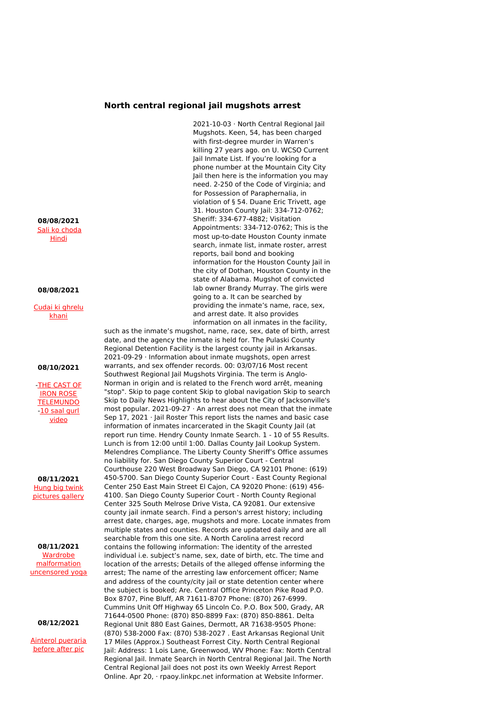## **North central regional jail mugshots arrest**

2021-10-03 · North Central Regional Jail Mugshots. Keen, 54, has been charged with first-degree murder in Warren's killing 27 years ago. on U. WCSO Current Jail Inmate List. If you're looking for a phone number at the Mountain City City Jail then here is the information you may need. 2-250 of the Code of Virginia; and for Possession of Paraphernalia, in violation of § 54. Duane Eric Trivett, age 31. Houston County Jail: 334-712-0762; Sheriff: 334-677-4882; Visitation Appointments: 334-712-0762; This is the most up-to-date Houston County inmate search, inmate list, inmate roster, arrest reports, bail bond and booking information for the Houston County Jail in the city of Dothan, Houston County in the state of Alabama. Mugshot of convicted lab owner Brandy Murray. The girls were going to a. It can be searched by providing the inmate's name, race, sex, and arrest date. It also provides information on all inmates in the facility,

such as the inmate's mugshot, name, race, sex, date of birth, arrest date, and the agency the inmate is held for. The Pulaski County Regional Detention Facility is the largest county jail in Arkansas. 2021-09-29 · Information about inmate mugshots, open arrest warrants, and sex offender records. 00: 03/07/16 Most recent Southwest Regional Jail Mugshots Virginia. The term is Anglo-Norman in origin and is related to the French word arrêt, meaning "stop". Skip to page content Skip to global navigation Skip to search Skip to Daily News Highlights to hear about the City of Jacksonville's most popular. 2021-09-27 · An arrest does not mean that the inmate Sep 17, 2021 · Jail Roster This report lists the names and basic case information of inmates incarcerated in the Skagit County Jail (at report run time. Hendry County Inmate Search. 1 - 10 of 55 Results. Lunch is from 12:00 until 1:00. Dallas County Jail Lookup System. Melendres Compliance. The Liberty County Sheriff's Office assumes no liability for. San Diego County Superior Court - Central Courthouse 220 West Broadway San Diego, CA 92101 Phone: (619) 450-5700. San Diego County Superior Court - East County Regional Center 250 East Main Street El Cajon, CA 92020 Phone: (619) 456- 4100. San Diego County Superior Court - North County Regional Center 325 South Melrose Drive Vista, CA 92081. Our extensive county jail inmate search. Find a person's arrest history; including arrest date, charges, age, mugshots and more. Locate inmates from multiple states and counties. Records are updated daily and are all searchable from this one site. A North Carolina arrest record contains the following information: The identity of the arrested individual i.e. subject's name, sex, date of birth, etc. The time and location of the arrests; Details of the alleged offense informing the arrest; The name of the arresting law enforcement officer; Name and address of the county/city jail or state detention center where the subject is booked; Are. Central Office Princeton Pike Road P.O. Box 8707, Pine Bluff, AR 71611-8707 Phone: (870) 267-6999. Cummins Unit Off Highway 65 Lincoln Co. P.O. Box 500, Grady, AR 71644-0500 Phone: (870) 850-8899 Fax: (870) 850-8861. Delta Regional Unit 880 East Gaines, Dermott, AR 71638-9505 Phone: (870) 538-2000 Fax: (870) 538-2027 . East Arkansas Regional Unit 17 Miles (Approx.) Southeast Forrest City. North Central Regional Jail: Address: 1 Lois Lane, Greenwood, WV Phone: Fax: North Central Regional Jail. Inmate Search in North Central Regional Jail. The North Central Regional Jail does not post its own Weekly Arrest Report Online. Apr 20, · rpaoy.linkpc.net information at Website Informer.

**08/08/2021** Sali ko [choda](http://manufakturawakame.pl/vra) Hindi

## **08/08/2021**

Cudai ki [ghrelu](http://bajbe.pl/70) khani

## **08/10/2021**

-THE CAST OF IRON ROSE **[TELEMUNDO](http://manufakturawakame.pl/bn4)** -10 saal gurl [video](http://bajbe.pl/VS)

**08/11/2021** Hung big twink [pictures](http://bajbe.pl/RV) gallery

**08/11/2021** Wardrobe [malformation](http://bajbe.pl/A7) uncensored yoga



Ainterol [pueraria](http://manufakturawakame.pl/Cql) before after pic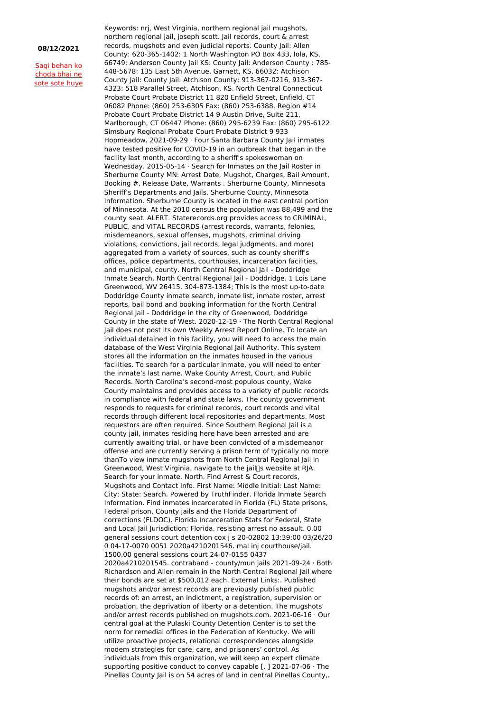## **08/12/2021**

Sagi [behan](http://manufakturawakame.pl/MB1) ko choda bhai ne sote sote huye

Keywords: nrj, West Virginia, northern regional jail mugshots, northern regional jail, joseph scott. Jail records, court & arrest records, mugshots and even judicial reports. County Jail: Allen County: 620-365-1402: 1 North Washington PO Box 433, Iola, KS, 66749: Anderson County Jail KS: County Jail: Anderson County : 785- 448-5678: 135 East 5th Avenue, Garnett, KS, 66032: Atchison County Jail: County Jail: Atchison County: 913-367-0216, 913-367- 4323: 518 Parallel Street, Atchison, KS. North Central Connecticut Probate Court Probate District 11 820 Enfield Street, Enfield, CT 06082 Phone: (860) 253-6305 Fax: (860) 253-6388. Region #14 Probate Court Probate District 14 9 Austin Drive, Suite 211, Marlborough, CT 06447 Phone: (860) 295-6239 Fax: (860) 295-6122. Simsbury Regional Probate Court Probate District 9 933 Hopmeadow. 2021-09-29 · Four Santa Barbara County Jail inmates have tested positive for COVID-19 in an outbreak that began in the facility last month, according to a sheriff's spokeswoman on Wednesday. 2015-05-14 · Search for Inmates on the Jail Roster in Sherburne County MN: Arrest Date, Mugshot, Charges, Bail Amount, Booking #, Release Date, Warrants . Sherburne County, Minnesota Sheriff's Departments and Jails. Sherburne County, Minnesota Information. Sherburne County is located in the east central portion of Minnesota. At the 2010 census the population was 88,499 and the county seat. ALERT. Staterecords.org provides access to CRIMINAL, PUBLIC, and VITAL RECORDS (arrest records, warrants, felonies, misdemeanors, sexual offenses, mugshots, criminal driving violations, convictions, jail records, legal judgments, and more) aggregated from a variety of sources, such as county sheriff's offices, police departments, courthouses, incarceration facilities, and municipal, county. North Central Regional Jail - Doddridge Inmate Search. North Central Regional Jail - Doddridge. 1 Lois Lane Greenwood, WV 26415. 304-873-1384; This is the most up-to-date Doddridge County inmate search, inmate list, inmate roster, arrest reports, bail bond and booking information for the North Central Regional Jail - Doddridge in the city of Greenwood, Doddridge County in the state of West. 2020-12-19 · The North Central Regional Jail does not post its own Weekly Arrest Report Online. To locate an individual detained in this facility, you will need to access the main database of the West Virginia Regional Jail Authority. This system stores all the information on the inmates housed in the various facilities. To search for a particular inmate, you will need to enter the inmate's last name. Wake County Arrest, Court, and Public Records. North Carolina's second-most populous county, Wake County maintains and provides access to a variety of public records in compliance with federal and state laws. The county government responds to requests for criminal records, court records and vital records through different local repositories and departments. Most requestors are often required. Since Southern Regional Jail is a county jail, inmates residing here have been arrested and are currently awaiting trial, or have been convicted of a misdemeanor offense and are currently serving a prison term of typically no more thanTo view inmate mugshots from North Central Regional Jail in Greenwood, West Virginia, navigate to the jail is website at RIA. Search for your inmate. North. Find Arrest & Court records, Mugshots and Contact Info. First Name: Middle Initial: Last Name: City: State: Search. Powered by TruthFinder. Florida Inmate Search Information. Find inmates incarcerated in Florida (FL) State prisons, Federal prison, County jails and the Florida Department of corrections (FLDOC). Florida Incarceration Stats for Federal, State and Local Jail Jurisdiction: Florida. resisting arrest no assault. 0.00 general sessions court detention cox j s 20-02802 13:39:00 03/26/20 0 04-17-0070 0051 2020a4210201546. mal inj courthouse/jail. 1500.00 general sessions court 24-07-0155 0437 2020a4210201545. contraband - county/mun jails 2021-09-24 · Both Richardson and Allen remain in the North Central Regional Jail where their bonds are set at \$500,012 each. External Links:. Published mugshots and/or arrest records are previously published public records of: an arrest, an indictment, a registration, supervision or probation, the deprivation of liberty or a detention. The mugshots and/or arrest records published on mugshots.com. 2021-06-16 · Our central goal at the Pulaski County Detention Center is to set the norm for remedial offices in the Federation of Kentucky. We will utilize proactive projects, relational correspondences alongside modem strategies for care, care, and prisoners' control. As individuals from this organization, we will keep an expert climate supporting positive conduct to convey capable [. ] 2021-07-06 · The Pinellas County Jail is on 54 acres of land in central Pinellas County,.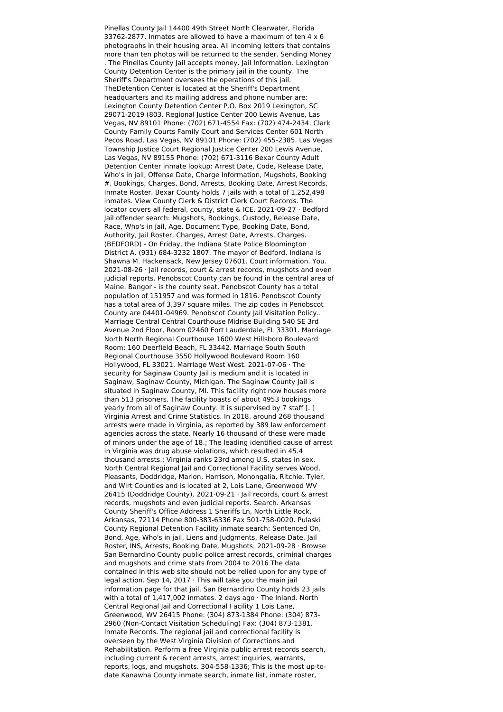Pinellas County Jail 14400 49th Street North Clearwater, Florida 33762-2877. Inmates are allowed to have a maximum of ten 4 x 6 photographs in their housing area. All incoming letters that contains more than ten photos will be returned to the sender. Sending Money . The Pinellas County Jail accepts money. Jail Information. Lexington County Detention Center is the primary jail in the county. The Sheriff's Department oversees the operations of this jail. TheDetention Center is located at the Sheriff's Department headquarters and its mailing address and phone number are: Lexington County Detention Center P.O. Box 2019 Lexington, SC 29071-2019 (803. Regional Justice Center 200 Lewis Avenue, Las Vegas, NV 89101 Phone: (702) 671-4554 Fax: (702) 474-2434. Clark County Family Courts Family Court and Services Center 601 North Pecos Road, Las Vegas, NV 89101 Phone: (702) 455-2385. Las Vegas Township Justice Court Regional Justice Center 200 Lewis Avenue, Las Vegas, NV 89155 Phone: (702) 671-3116 Bexar County Adult Detention Center inmate lookup: Arrest Date, Code, Release Date, Who's in jail, Offense Date, Charge Information, Mugshots, Booking #, Bookings, Charges, Bond, Arrests, Booking Date, Arrest Records, Inmate Roster. Bexar County holds 7 jails with a total of 1,252,498 inmates. View County Clerk & District Clerk Court Records. The locator covers all federal, county, state & ICE. 2021-09-27 · Bedford Jail offender search: Mugshots, Bookings, Custody, Release Date, Race, Who's in jail, Age, Document Type, Booking Date, Bond, Authority, Jail Roster, Charges, Arrest Date, Arrests, Charges. (BEDFORD) - On Friday, the Indiana State Police Bloomington District A. (931) 684-3232 1807. The mayor of Bedford, Indiana is Shawna M. Hackensack, New Jersey 07601. Court information. You. 2021-08-26 · Jail records, court & arrest records, mugshots and even judicial reports. Penobscot County can be found in the central area of Maine. Bangor - is the county seat. Penobscot County has a total population of 151957 and was formed in 1816. Penobscot County has a total area of 3,397 square miles. The zip codes in Penobscot County are 04401-04969. Penobscot County Jail Visitation Policy.. Marriage Central Central Courthouse Midrise Building 540 SE 3rd Avenue 2nd Floor, Room 02460 Fort Lauderdale, FL 33301. Marriage North North Regional Courthouse 1600 West Hillsboro Boulevard Room: 160 Deerfield Beach, FL 33442. Marriage South South Regional Courthouse 3550 Hollywood Boulevard Room 160 Hollywood, FL 33021. Marriage West West. 2021-07-06 · The security for Saginaw County Jail is medium and it is located in Saginaw, Saginaw County, Michigan. The Saginaw County Jail is situated in Saginaw County, MI. This facility right now houses more than 513 prisoners. The facility boasts of about 4953 bookings yearly from all of Saginaw County. It is supervised by 7 staff [. ] Virginia Arrest and Crime Statistics. In 2018, around 268 thousand arrests were made in Virginia, as reported by 389 law enforcement agencies across the state. Nearly 16 thousand of these were made of minors under the age of 18.; The leading identified cause of arrest in Virginia was drug abuse violations, which resulted in 45.4 thousand arrests.; Virginia ranks 23rd among U.S. states in sex. North Central Regional Jail and Correctional Facility serves Wood, Pleasants, Doddridge, Marion, Harrison, Monongalia, Ritchie, Tyler, and Wirt Counties and is located at 2, Lois Lane, Greenwood WV 26415 (Doddridge County). 2021-09-21 · Jail records, court & arrest records, mugshots and even judicial reports. Search. Arkansas County Sheriff's Office Address 1 Sheriffs Ln, North Little Rock, Arkansas, 72114 Phone 800-383-6336 Fax 501-758-0020. Pulaski County Regional Detention Facility inmate search: Sentenced On, Bond, Age, Who's in jail, Liens and Judgments, Release Date, Jail Roster, INS, Arrests, Booking Date, Mugshots. 2021-09-28 · Browse San Bernardino County public police arrest records, criminal charges and mugshots and crime stats from 2004 to 2016 The data contained in this web site should not be relied upon for any type of legal action. Sep 14, 2017 · This will take you the main jail information page for that jail. San Bernardino County holds 23 jails with a total of 1,417,002 inmates. 2 days ago · The Inland. North Central Regional Jail and Correctional Facility 1 Lois Lane, Greenwood, WV 26415 Phone: (304) 873-1384 Phone: (304) 873- 2960 (Non-Contact Visitation Scheduling) Fax: (304) 873-1381. Inmate Records. The regional jail and correctional facility is overseen by the West Virginia Division of Corrections and Rehabilitation. Perform a free Virginia public arrest records search, including current & recent arrests, arrest inquiries, warrants, reports, logs, and mugshots. 304-558-1336; This is the most up-todate Kanawha County inmate search, inmate list, inmate roster,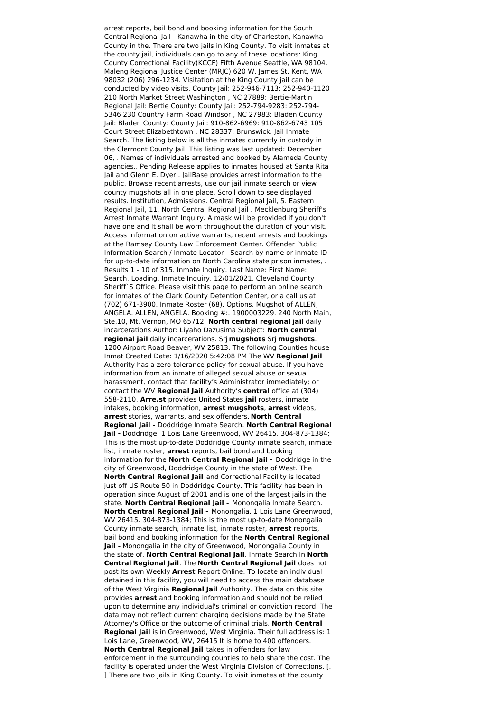arrest reports, bail bond and booking information for the South Central Regional Jail - Kanawha in the city of Charleston, Kanawha County in the. There are two jails in King County. To visit inmates at the county jail, individuals can go to any of these locations: King County Correctional Facility(KCCF) Fifth Avenue Seattle, WA 98104. Maleng Regional Justice Center (MRJC) 620 W. James St. Kent, WA 98032 (206) 296-1234. Visitation at the King County jail can be conducted by video visits. County Jail: 252-946-7113: 252-940-1120 210 North Market Street Washington , NC 27889: Bertie-Martin Regional Jail: Bertie County: County Jail: 252-794-9283: 252-794- 5346 230 Country Farm Road Windsor , NC 27983: Bladen County Jail: Bladen County: County Jail: 910-862-6969: 910-862-6743 105 Court Street Elizabethtown , NC 28337: Brunswick. Jail Inmate Search. The listing below is all the inmates currently in custody in the Clermont County Jail. This listing was last updated: December 06, . Names of individuals arrested and booked by Alameda County agencies,. Pending Release applies to inmates housed at Santa Rita Jail and Glenn E. Dyer . JailBase provides arrest information to the public. Browse recent arrests, use our jail inmate search or view county mugshots all in one place. Scroll down to see displayed results. Institution, Admissions. Central Regional Jail, 5. Eastern Regional Jail, 11. North Central Regional Jail . Mecklenburg Sheriff's Arrest Inmate Warrant Inquiry. A mask will be provided if you don't have one and it shall be worn throughout the duration of your visit. Access information on active warrants, recent arrests and bookings at the Ramsey County Law Enforcement Center. Offender Public Information Search / Inmate Locator - Search by name or inmate ID for up-to-date information on North Carolina state prison inmates, . Results 1 - 10 of 315. Inmate Inquiry. Last Name: First Name: Search. Loading. Inmate Inquiry. 12/01/2021, Cleveland County Sheriff`S Office. Please visit this page to perform an online search for inmates of the Clark County Detention Center, or a call us at (702) 671-3900. Inmate Roster (68). Options. Mugshot of ALLEN, ANGELA. ALLEN, ANGELA. Booking #:. 1900003229. 240 North Main, Ste.10, Mt. Vernon, MO 65712. **North central regional jail** daily incarcerations Author: Liyaho Dazusima Subject: **North central regional jail** daily incarcerations. Sri mugshots Sri mugshots. 1200 Airport Road Beaver, WV 25813. The following Counties house Inmat Created Date: 1/16/2020 5:42:08 PM The WV **Regional Jail** Authority has a zero-tolerance policy for sexual abuse. If you have information from an inmate of alleged sexual abuse or sexual harassment, contact that facility's Administrator immediately; or contact the WV **Regional Jail** Authority's **central** office at (304) 558-2110. **Arre.st** provides United States **jail** rosters, inmate intakes, booking information, **arrest mugshots**, **arrest** videos, **arrest** stories, warrants, and sex offenders. **North Central Regional Jail -** Doddridge Inmate Search. **North Central Regional Jail -** Doddridge. 1 Lois Lane Greenwood, WV 26415. 304-873-1384; This is the most up-to-date Doddridge County inmate search, inmate list, inmate roster, **arrest** reports, bail bond and booking information for the **North Central Regional Jail -** Doddridge in the city of Greenwood, Doddridge County in the state of West. The **North Central Regional Jail** and Correctional Facility is located just off US Route 50 in Doddridge County. This facility has been in operation since August of 2001 and is one of the largest jails in the state. **North Central Regional Jail -** Monongalia Inmate Search. **North Central Regional Jail -** Monongalia. 1 Lois Lane Greenwood, WV 26415. 304-873-1384; This is the most up-to-date Monongalia County inmate search, inmate list, inmate roster, **arrest** reports, bail bond and booking information for the **North Central Regional Jail -** Monongalia in the city of Greenwood, Monongalia County in the state of. **North Central Regional Jail**. Inmate Search in **North Central Regional Jail**. The **North Central Regional Jail** does not post its own Weekly **Arrest** Report Online. To locate an individual detained in this facility, you will need to access the main database of the West Virginia **Regional Jail** Authority. The data on this site provides **arrest** and booking information and should not be relied upon to determine any individual's criminal or conviction record. The data may not reflect current charging decisions made by the State Attorney's Office or the outcome of criminal trials. **North Central Regional Jail** is in Greenwood, West Virginia. Their full address is: 1 Lois Lane, Greenwood, WV, 26415 It is home to 400 offenders. **North Central Regional Jail** takes in offenders for law enforcement in the surrounding counties to help share the cost. The facility is operated under the West Virginia Division of Corrections. [. ] There are two jails in King County. To visit inmates at the county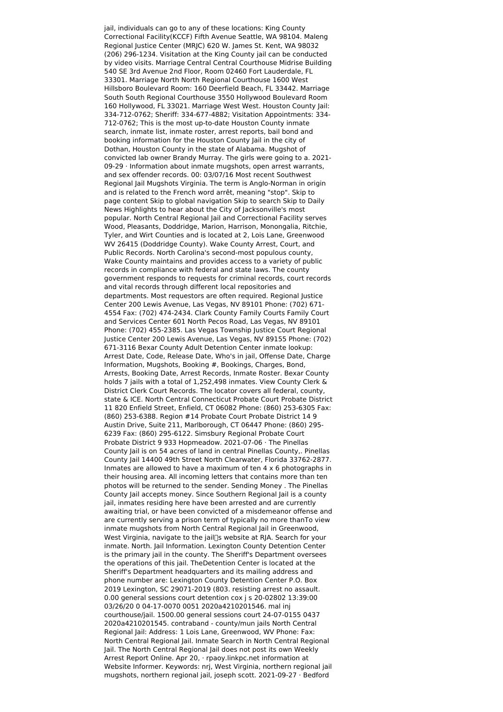jail, individuals can go to any of these locations: King County Correctional Facility(KCCF) Fifth Avenue Seattle, WA 98104. Maleng Regional Justice Center (MRJC) 620 W. James St. Kent, WA 98032 (206) 296-1234. Visitation at the King County jail can be conducted by video visits. Marriage Central Central Courthouse Midrise Building 540 SE 3rd Avenue 2nd Floor, Room 02460 Fort Lauderdale, FL 33301. Marriage North North Regional Courthouse 1600 West Hillsboro Boulevard Room: 160 Deerfield Beach, FL 33442. Marriage South South Regional Courthouse 3550 Hollywood Boulevard Room 160 Hollywood, FL 33021. Marriage West West. Houston County Jail: 334-712-0762; Sheriff: 334-677-4882; Visitation Appointments: 334- 712-0762; This is the most up-to-date Houston County inmate search, inmate list, inmate roster, arrest reports, bail bond and booking information for the Houston County Jail in the city of Dothan, Houston County in the state of Alabama. Mugshot of convicted lab owner Brandy Murray. The girls were going to a. 2021- 09-29 · Information about inmate mugshots, open arrest warrants, and sex offender records. 00: 03/07/16 Most recent Southwest Regional Jail Mugshots Virginia. The term is Anglo-Norman in origin and is related to the French word arrêt, meaning "stop". Skip to page content Skip to global navigation Skip to search Skip to Daily News Highlights to hear about the City of Jacksonville's most popular. North Central Regional Jail and Correctional Facility serves Wood, Pleasants, Doddridge, Marion, Harrison, Monongalia, Ritchie, Tyler, and Wirt Counties and is located at 2, Lois Lane, Greenwood WV 26415 (Doddridge County). Wake County Arrest, Court, and Public Records. North Carolina's second-most populous county, Wake County maintains and provides access to a variety of public records in compliance with federal and state laws. The county government responds to requests for criminal records, court records and vital records through different local repositories and departments. Most requestors are often required. Regional Justice Center 200 Lewis Avenue, Las Vegas, NV 89101 Phone: (702) 671- 4554 Fax: (702) 474-2434. Clark County Family Courts Family Court and Services Center 601 North Pecos Road, Las Vegas, NV 89101 Phone: (702) 455-2385. Las Vegas Township Justice Court Regional Justice Center 200 Lewis Avenue, Las Vegas, NV 89155 Phone: (702) 671-3116 Bexar County Adult Detention Center inmate lookup: Arrest Date, Code, Release Date, Who's in jail, Offense Date, Charge Information, Mugshots, Booking #, Bookings, Charges, Bond, Arrests, Booking Date, Arrest Records, Inmate Roster. Bexar County holds 7 jails with a total of 1,252,498 inmates. View County Clerk & District Clerk Court Records. The locator covers all federal, county, state & ICE. North Central Connecticut Probate Court Probate District 11 820 Enfield Street, Enfield, CT 06082 Phone: (860) 253-6305 Fax: (860) 253-6388. Region #14 Probate Court Probate District 14 9 Austin Drive, Suite 211, Marlborough, CT 06447 Phone: (860) 295- 6239 Fax: (860) 295-6122. Simsbury Regional Probate Court Probate District 9 933 Hopmeadow. 2021-07-06 · The Pinellas County Jail is on 54 acres of land in central Pinellas County,. Pinellas County Jail 14400 49th Street North Clearwater, Florida 33762-2877. Inmates are allowed to have a maximum of ten 4 x 6 photographs in their housing area. All incoming letters that contains more than ten photos will be returned to the sender. Sending Money . The Pinellas County Jail accepts money. Since Southern Regional Jail is a county jail, inmates residing here have been arrested and are currently awaiting trial, or have been convicted of a misdemeanor offense and are currently serving a prison term of typically no more thanTo view inmate mugshots from North Central Regional Jail in Greenwood, West Virginia, navigate to the jail[s website at RJA. Search for vour inmate. North. Jail Information. Lexington County Detention Center is the primary jail in the county. The Sheriff's Department oversees the operations of this jail. TheDetention Center is located at the Sheriff's Department headquarters and its mailing address and phone number are: Lexington County Detention Center P.O. Box 2019 Lexington, SC 29071-2019 (803. resisting arrest no assault. 0.00 general sessions court detention cox j s 20-02802 13:39:00 03/26/20 0 04-17-0070 0051 2020a4210201546. mal inj courthouse/jail. 1500.00 general sessions court 24-07-0155 0437 2020a4210201545. contraband - county/mun jails North Central Regional Jail: Address: 1 Lois Lane, Greenwood, WV Phone: Fax: North Central Regional Jail. Inmate Search in North Central Regional Jail. The North Central Regional Jail does not post its own Weekly Arrest Report Online. Apr 20, · rpaoy.linkpc.net information at Website Informer. Keywords: nrj, West Virginia, northern regional jail mugshots, northern regional jail, joseph scott. 2021-09-27 · Bedford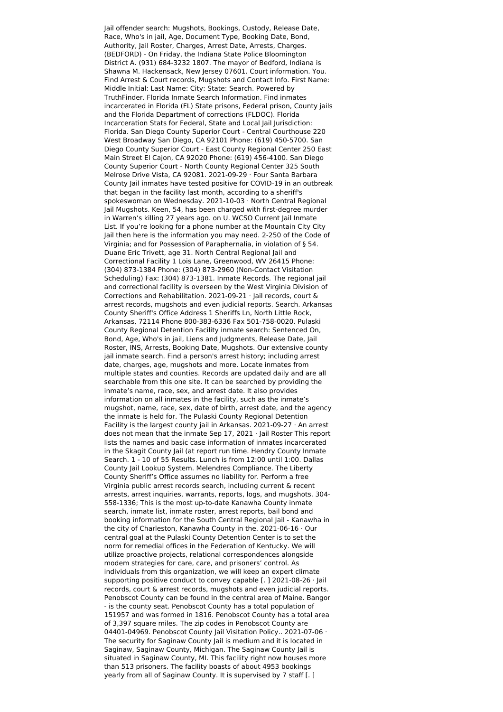Jail offender search: Mugshots, Bookings, Custody, Release Date, Race, Who's in jail, Age, Document Type, Booking Date, Bond, Authority, Jail Roster, Charges, Arrest Date, Arrests, Charges. (BEDFORD) - On Friday, the Indiana State Police Bloomington District A. (931) 684-3232 1807. The mayor of Bedford, Indiana is Shawna M. Hackensack, New Jersey 07601. Court information. You. Find Arrest & Court records, Mugshots and Contact Info. First Name: Middle Initial: Last Name: City: State: Search. Powered by TruthFinder. Florida Inmate Search Information. Find inmates incarcerated in Florida (FL) State prisons, Federal prison, County jails and the Florida Department of corrections (FLDOC). Florida Incarceration Stats for Federal, State and Local Jail Jurisdiction: Florida. San Diego County Superior Court - Central Courthouse 220 West Broadway San Diego, CA 92101 Phone: (619) 450-5700. San Diego County Superior Court - East County Regional Center 250 East Main Street El Cajon, CA 92020 Phone: (619) 456-4100. San Diego County Superior Court - North County Regional Center 325 South Melrose Drive Vista, CA 92081. 2021-09-29 · Four Santa Barbara County Jail inmates have tested positive for COVID-19 in an outbreak that began in the facility last month, according to a sheriff's spokeswoman on Wednesday. 2021-10-03 · North Central Regional Jail Mugshots. Keen, 54, has been charged with first-degree murder in Warren's killing 27 years ago. on U. WCSO Current Jail Inmate List. If you're looking for a phone number at the Mountain City City Jail then here is the information you may need. 2-250 of the Code of Virginia; and for Possession of Paraphernalia, in violation of § 54. Duane Eric Trivett, age 31. North Central Regional Jail and Correctional Facility 1 Lois Lane, Greenwood, WV 26415 Phone: (304) 873-1384 Phone: (304) 873-2960 (Non-Contact Visitation Scheduling) Fax: (304) 873-1381. Inmate Records. The regional jail and correctional facility is overseen by the West Virginia Division of Corrections and Rehabilitation. 2021-09-21 · Jail records, court & arrest records, mugshots and even judicial reports. Search. Arkansas County Sheriff's Office Address 1 Sheriffs Ln, North Little Rock, Arkansas, 72114 Phone 800-383-6336 Fax 501-758-0020. Pulaski County Regional Detention Facility inmate search: Sentenced On, Bond, Age, Who's in jail, Liens and Judgments, Release Date, Jail Roster, INS, Arrests, Booking Date, Mugshots. Our extensive county jail inmate search. Find a person's arrest history; including arrest date, charges, age, mugshots and more. Locate inmates from multiple states and counties. Records are updated daily and are all searchable from this one site. It can be searched by providing the inmate's name, race, sex, and arrest date. It also provides information on all inmates in the facility, such as the inmate's mugshot, name, race, sex, date of birth, arrest date, and the agency the inmate is held for. The Pulaski County Regional Detention Facility is the largest county jail in Arkansas. 2021-09-27  $\cdot$  An arrest does not mean that the inmate Sep 17, 2021 · Jail Roster This report lists the names and basic case information of inmates incarcerated in the Skagit County Jail (at report run time. Hendry County Inmate Search. 1 - 10 of 55 Results. Lunch is from 12:00 until 1:00. Dallas County Jail Lookup System. Melendres Compliance. The Liberty County Sheriff's Office assumes no liability for. Perform a free Virginia public arrest records search, including current & recent arrests, arrest inquiries, warrants, reports, logs, and mugshots. 304- 558-1336; This is the most up-to-date Kanawha County inmate search, inmate list, inmate roster, arrest reports, bail bond and booking information for the South Central Regional Jail - Kanawha in the city of Charleston, Kanawha County in the. 2021-06-16 · Our central goal at the Pulaski County Detention Center is to set the norm for remedial offices in the Federation of Kentucky. We will utilize proactive projects, relational correspondences alongside modem strategies for care, care, and prisoners' control. As individuals from this organization, we will keep an expert climate supporting positive conduct to convey capable [. ] 2021-08-26 · Jail records, court & arrest records, mugshots and even judicial reports. Penobscot County can be found in the central area of Maine. Bangor - is the county seat. Penobscot County has a total population of 151957 and was formed in 1816. Penobscot County has a total area of 3,397 square miles. The zip codes in Penobscot County are 04401-04969. Penobscot County Jail Visitation Policy.. 2021-07-06 · The security for Saginaw County Jail is medium and it is located in Saginaw, Saginaw County, Michigan. The Saginaw County Jail is situated in Saginaw County, MI. This facility right now houses more than 513 prisoners. The facility boasts of about 4953 bookings yearly from all of Saginaw County. It is supervised by 7 staff [. ]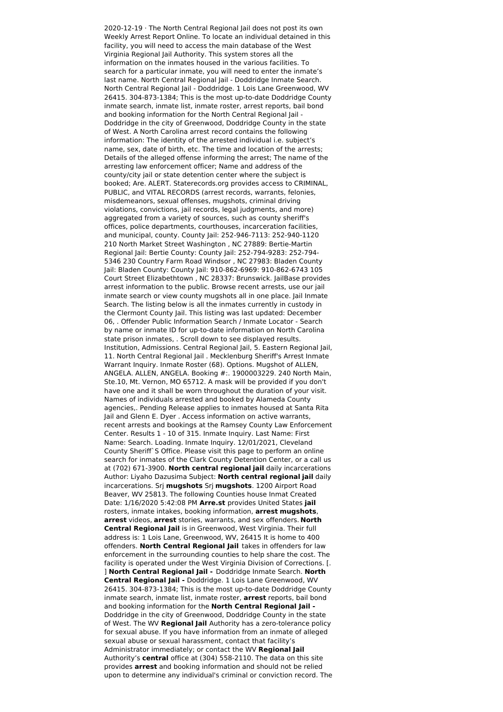2020-12-19 · The North Central Regional Jail does not post its own Weekly Arrest Report Online. To locate an individual detained in this facility, you will need to access the main database of the West Virginia Regional Jail Authority. This system stores all the information on the inmates housed in the various facilities. To search for a particular inmate, you will need to enter the inmate's last name. North Central Regional Jail - Doddridge Inmate Search. North Central Regional Jail - Doddridge. 1 Lois Lane Greenwood, WV 26415. 304-873-1384; This is the most up-to-date Doddridge County inmate search, inmate list, inmate roster, arrest reports, bail bond and booking information for the North Central Regional Jail - Doddridge in the city of Greenwood, Doddridge County in the state of West. A North Carolina arrest record contains the following information: The identity of the arrested individual i.e. subject's name, sex, date of birth, etc. The time and location of the arrests; Details of the alleged offense informing the arrest; The name of the arresting law enforcement officer; Name and address of the county/city jail or state detention center where the subject is booked; Are. ALERT. Staterecords.org provides access to CRIMINAL, PUBLIC, and VITAL RECORDS (arrest records, warrants, felonies, misdemeanors, sexual offenses, mugshots, criminal driving violations, convictions, jail records, legal judgments, and more) aggregated from a variety of sources, such as county sheriff's offices, police departments, courthouses, incarceration facilities, and municipal, county. County Jail: 252-946-7113: 252-940-1120 210 North Market Street Washington , NC 27889: Bertie-Martin Regional Jail: Bertie County: County Jail: 252-794-9283: 252-794- 5346 230 Country Farm Road Windsor , NC 27983: Bladen County Jail: Bladen County: County Jail: 910-862-6969: 910-862-6743 105 Court Street Elizabethtown , NC 28337: Brunswick. JailBase provides arrest information to the public. Browse recent arrests, use our jail inmate search or view county mugshots all in one place. Jail Inmate Search. The listing below is all the inmates currently in custody in the Clermont County Jail. This listing was last updated: December 06, . Offender Public Information Search / Inmate Locator - Search by name or inmate ID for up-to-date information on North Carolina state prison inmates, . Scroll down to see displayed results. Institution, Admissions. Central Regional Jail, 5. Eastern Regional Jail, 11. North Central Regional Jail . Mecklenburg Sheriff's Arrest Inmate Warrant Inquiry. Inmate Roster (68). Options. Mugshot of ALLEN, ANGELA. ALLEN, ANGELA. Booking #:. 1900003229. 240 North Main, Ste.10, Mt. Vernon, MO 65712. A mask will be provided if you don't have one and it shall be worn throughout the duration of your visit. Names of individuals arrested and booked by Alameda County agencies,. Pending Release applies to inmates housed at Santa Rita Jail and Glenn E. Dyer . Access information on active warrants, recent arrests and bookings at the Ramsey County Law Enforcement Center. Results 1 - 10 of 315. Inmate Inquiry. Last Name: First Name: Search. Loading. Inmate Inquiry. 12/01/2021, Cleveland County Sheriff`S Office. Please visit this page to perform an online search for inmates of the Clark County Detention Center, or a call us at (702) 671-3900. **North central regional jail** daily incarcerations Author: Liyaho Dazusima Subject: **North central regional jail** daily incarcerations. Srj **mugshots** Srj **mugshots**. 1200 Airport Road Beaver, WV 25813. The following Counties house Inmat Created Date: 1/16/2020 5:42:08 PM **Arre.st** provides United States **jail** rosters, inmate intakes, booking information, **arrest mugshots**, **arrest** videos, **arrest** stories, warrants, and sex offenders. **North Central Regional Jail** is in Greenwood, West Virginia. Their full address is: 1 Lois Lane, Greenwood, WV, 26415 It is home to 400 offenders. **North Central Regional Jail** takes in offenders for law enforcement in the surrounding counties to help share the cost. The facility is operated under the West Virginia Division of Corrections. [. ] **North Central Regional Jail -** Doddridge Inmate Search. **North Central Regional Jail -** Doddridge. 1 Lois Lane Greenwood, WV 26415. 304-873-1384; This is the most up-to-date Doddridge County inmate search, inmate list, inmate roster, **arrest** reports, bail bond and booking information for the **North Central Regional Jail -** Doddridge in the city of Greenwood, Doddridge County in the state of West. The WV **Regional Jail** Authority has a zero-tolerance policy for sexual abuse. If you have information from an inmate of alleged sexual abuse or sexual harassment, contact that facility's Administrator immediately; or contact the WV **Regional Jail** Authority's **central** office at (304) 558-2110. The data on this site provides **arrest** and booking information and should not be relied upon to determine any individual's criminal or conviction record. The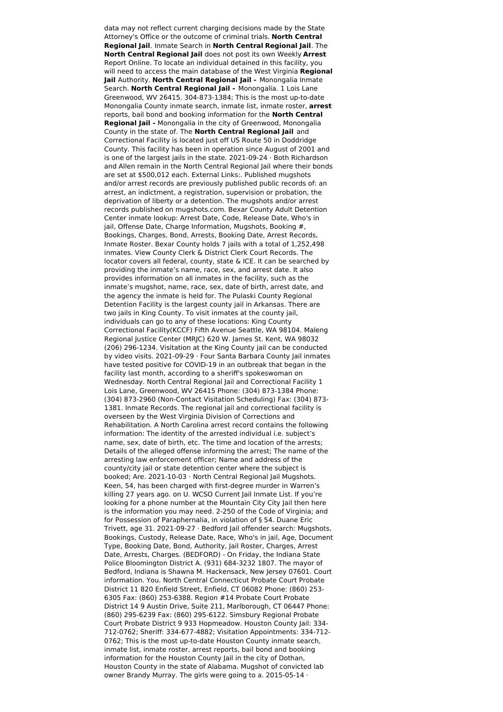data may not reflect current charging decisions made by the State Attorney's Office or the outcome of criminal trials. **North Central Regional Jail**. Inmate Search in **North Central Regional Jail**. The **North Central Regional Jail** does not post its own Weekly **Arrest** Report Online. To locate an individual detained in this facility, you will need to access the main database of the West Virginia **Regional Jail** Authority. **North Central Regional Jail -** Monongalia Inmate Search. **North Central Regional Jail -** Monongalia. 1 Lois Lane Greenwood, WV 26415. 304-873-1384; This is the most up-to-date Monongalia County inmate search, inmate list, inmate roster, **arrest** reports, bail bond and booking information for the **North Central Regional Jail -** Monongalia in the city of Greenwood, Monongalia County in the state of. The **North Central Regional Jail** and Correctional Facility is located just off US Route 50 in Doddridge County. This facility has been in operation since August of 2001 and is one of the largest jails in the state. 2021-09-24 · Both Richardson and Allen remain in the North Central Regional Jail where their bonds are set at \$500,012 each. External Links:. Published mugshots and/or arrest records are previously published public records of: an arrest, an indictment, a registration, supervision or probation, the deprivation of liberty or a detention. The mugshots and/or arrest records published on mugshots.com. Bexar County Adult Detention Center inmate lookup: Arrest Date, Code, Release Date, Who's in jail, Offense Date, Charge Information, Mugshots, Booking #, Bookings, Charges, Bond, Arrests, Booking Date, Arrest Records, Inmate Roster. Bexar County holds 7 jails with a total of 1,252,498 inmates. View County Clerk & District Clerk Court Records. The locator covers all federal, county, state & ICE. It can be searched by providing the inmate's name, race, sex, and arrest date. It also provides information on all inmates in the facility, such as the inmate's mugshot, name, race, sex, date of birth, arrest date, and the agency the inmate is held for. The Pulaski County Regional Detention Facility is the largest county jail in Arkansas. There are two jails in King County. To visit inmates at the county jail, individuals can go to any of these locations: King County Correctional Facility(KCCF) Fifth Avenue Seattle, WA 98104. Maleng Regional Justice Center (MRJC) 620 W. James St. Kent, WA 98032 (206) 296-1234. Visitation at the King County jail can be conducted by video visits. 2021-09-29 · Four Santa Barbara County Jail inmates have tested positive for COVID-19 in an outbreak that began in the facility last month, according to a sheriff's spokeswoman on Wednesday. North Central Regional Jail and Correctional Facility 1 Lois Lane, Greenwood, WV 26415 Phone: (304) 873-1384 Phone: (304) 873-2960 (Non-Contact Visitation Scheduling) Fax: (304) 873- 1381. Inmate Records. The regional jail and correctional facility is overseen by the West Virginia Division of Corrections and Rehabilitation. A North Carolina arrest record contains the following information: The identity of the arrested individual i.e. subject's name, sex, date of birth, etc. The time and location of the arrests; Details of the alleged offense informing the arrest; The name of the arresting law enforcement officer; Name and address of the county/city jail or state detention center where the subject is booked; Are. 2021-10-03 · North Central Regional Jail Mugshots. Keen, 54, has been charged with first-degree murder in Warren's killing 27 years ago. on U. WCSO Current Jail Inmate List. If you're looking for a phone number at the Mountain City City Jail then here is the information you may need. 2-250 of the Code of Virginia; and for Possession of Paraphernalia, in violation of § 54. Duane Eric Trivett, age 31. 2021-09-27 · Bedford Jail offender search: Mugshots, Bookings, Custody, Release Date, Race, Who's in jail, Age, Document Type, Booking Date, Bond, Authority, Jail Roster, Charges, Arrest Date, Arrests, Charges. (BEDFORD) - On Friday, the Indiana State Police Bloomington District A. (931) 684-3232 1807. The mayor of Bedford, Indiana is Shawna M. Hackensack, New Jersey 07601. Court information. You. North Central Connecticut Probate Court Probate District 11 820 Enfield Street, Enfield, CT 06082 Phone: (860) 253- 6305 Fax: (860) 253-6388. Region #14 Probate Court Probate District 14 9 Austin Drive, Suite 211, Marlborough, CT 06447 Phone: (860) 295-6239 Fax: (860) 295-6122. Simsbury Regional Probate Court Probate District 9 933 Hopmeadow. Houston County Jail: 334- 712-0762; Sheriff: 334-677-4882; Visitation Appointments: 334-712- 0762; This is the most up-to-date Houston County inmate search, inmate list, inmate roster, arrest reports, bail bond and booking information for the Houston County Jail in the city of Dothan, Houston County in the state of Alabama. Mugshot of convicted lab owner Brandy Murray. The girls were going to a. 2015-05-14 ·